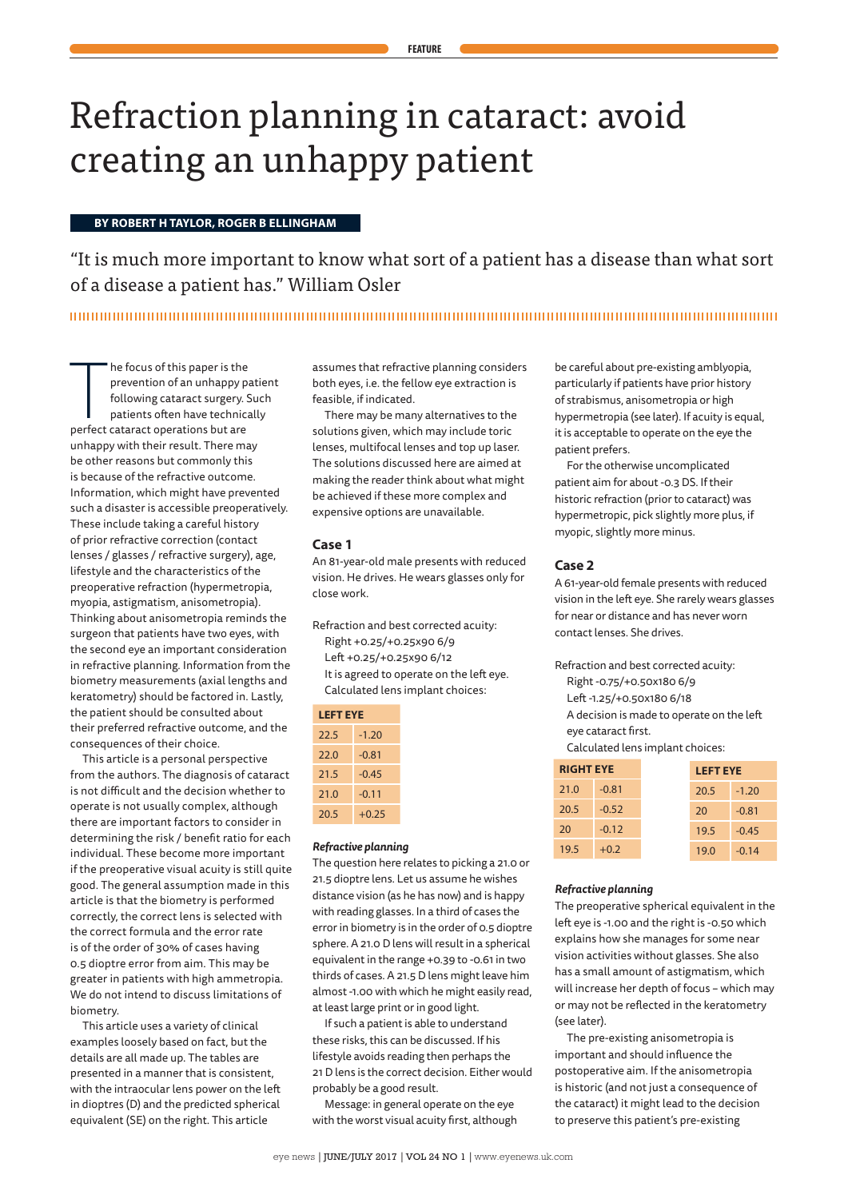# Refraction planning in cataract: avoid creating an unhappy patient

# **BY ROBERT H TAYLOR, ROGER B ELLINGHAM**

"It is much more important to know what sort of a patient has a disease than what sort of a disease a patient has." William Osler

he focus of this paper is the<br>prevention of an unhappy p<br>following cataract surgery.<br>patients often have technic<br>perfect cataract operations but are he focus of this paper is the prevention of an unhappy patient following cataract surgery. Such patients often have technically unhappy with their result. There may be other reasons but commonly this is because of the refractive outcome. Information, which might have prevented such a disaster is accessible preoperatively. These include taking a careful history of prior refractive correction (contact lenses / glasses / refractive surgery), age, lifestyle and the characteristics of the preoperative refraction (hypermetropia, myopia, astigmatism, anisometropia). Thinking about anisometropia reminds the surgeon that patients have two eyes, with the second eye an important consideration in refractive planning. Information from the biometry measurements (axial lengths and keratometry) should be factored in. Lastly, the patient should be consulted about their preferred refractive outcome, and the consequences of their choice.

This article is a personal perspective from the authors. The diagnosis of cataract is not difficult and the decision whether to operate is not usually complex, although there are important factors to consider in determining the risk / benefit ratio for each individual. These become more important if the preoperative visual acuity is still quite good. The general assumption made in this article is that the biometry is performed correctly, the correct lens is selected with the correct formula and the error rate is of the order of 30% of cases having 0.5 dioptre error from aim. This may be greater in patients with high ammetropia. We do not intend to discuss limitations of biometry.

This article uses a variety of clinical examples loosely based on fact, but the details are all made up. The tables are presented in a manner that is consistent, with the intraocular lens power on the left in dioptres (D) and the predicted spherical equivalent (SE) on the right. This article

assumes that refractive planning considers both eyes, i.e. the fellow eye extraction is feasible, if indicated.

There may be many alternatives to the solutions given, which may include toric lenses, multifocal lenses and top up laser. The solutions discussed here are aimed at making the reader think about what might be achieved if these more complex and expensive options are unavailable.

# **Case 1**

An 81-year-old male presents with reduced vision. He drives. He wears glasses only for close work.

Refraction and best corrected acuity: Right +0.25/+0.25x90 6/9 Left +0.25/+0.25x90 6/12 It is agreed to operate on the left eye. Calculated lens implant choices:

| <b>LEFT EYE</b> |         |  |
|-----------------|---------|--|
| 22.5            | $-1.20$ |  |
| 22.0            | -0.81   |  |
| 21.5            | $-0.45$ |  |
| 21.0            | $-0.11$ |  |
| 20.5            | $+0.25$ |  |

# *Refractive planning*

The question here relates to picking a 21.0 or 21.5 dioptre lens. Let us assume he wishes distance vision (as he has now) and is happy with reading glasses. In a third of cases the error in biometry is in the order of 0.5 dioptre sphere. A 21.0 D lens will result in a spherical equivalent in the range +0.39 to -0.61 in two thirds of cases. A 21.5 D lens might leave him almost -1.00 with which he might easily read, at least large print or in good light.

If such a patient is able to understand these risks, this can be discussed. If his lifestyle avoids reading then perhaps the 21 D lens is the correct decision. Either would probably be a good result.

Message: in general operate on the eye with the worst visual acuity first, although be careful about pre-existing amblyopia, particularly if patients have prior history of strabismus, anisometropia or high hypermetropia (see later). If acuity is equal, it is acceptable to operate on the eye the patient prefers.

For the otherwise uncomplicated patient aim for about -0.3 DS. If their historic refraction (prior to cataract) was hypermetropic, pick slightly more plus, if myopic, slightly more minus.

# **Case 2**

A 61-year-old female presents with reduced vision in the left eye. She rarely wears glasses for near or distance and has never worn contact lenses. She drives.

Refraction and best corrected acuity:

Right -0.75/+0.50x180 6/9

Left -1.25/+0.50x180 6/18

A decision is made to operate on the left eye cataract first.

Calculated lens implant choices:

| <b>RIGHT EYE</b> |         | <b>LEFT EYE</b> |         |
|------------------|---------|-----------------|---------|
| 21.0             | $-0.81$ | 20.5            | $-1.20$ |
| 20.5             | $-0.52$ | 20              | $-0.81$ |
| 20               | $-0.12$ | 19.5            | $-0.45$ |
| 19.5             | $+0.2$  | 19.0            | $-0.14$ |

#### *Refractive planning*

The preoperative spherical equivalent in the left eye is -1.00 and the right is -0.50 which explains how she manages for some near vision activities without glasses. She also has a small amount of astigmatism, which will increase her depth of focus – which may or may not be reflected in the keratometry (see later).

The pre-existing anisometropia is important and should influence the postoperative aim. If the anisometropia is historic (and not just a consequence of the cataract) it might lead to the decision to preserve this patient's pre-existing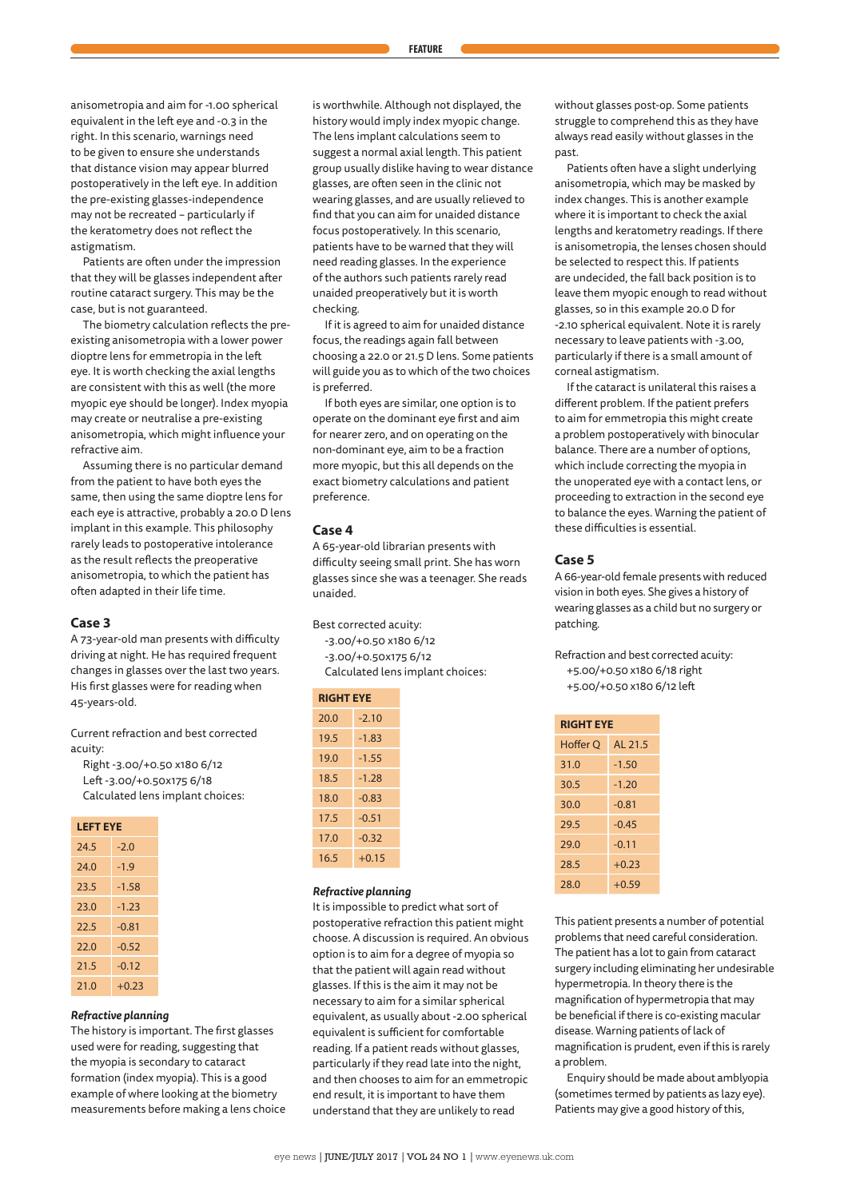anisometropia and aim for -1.00 spherical equivalent in the left eye and -0.3 in the right. In this scenario, warnings need to be given to ensure she understands that distance vision may appear blurred postoperatively in the left eye. In addition the pre-existing glasses-independence may not be recreated – particularly if the keratometry does not reflect the astigmatism.

Patients are often under the impression that they will be glasses independent after routine cataract surgery. This may be the case, but is not guaranteed.

The biometry calculation reflects the preexisting anisometropia with a lower power dioptre lens for emmetropia in the left eye. It is worth checking the axial lengths are consistent with this as well (the more myopic eye should be longer). Index myopia may create or neutralise a pre-existing anisometropia, which might influence your refractive aim.

Assuming there is no particular demand from the patient to have both eyes the same, then using the same dioptre lens for each eye is attractive, probably a 20.0 D lens implant in this example. This philosophy rarely leads to postoperative intolerance as the result reflects the preoperative anisometropia, to which the patient has often adapted in their life time.

# **Case 3**

A 73-year-old man presents with difficulty driving at night. He has required frequent changes in glasses over the last two years. His first glasses were for reading when 45-years-old.

Current refraction and best corrected acuity:

Right -3.00/+0.50 x180 6/12 Left -3.00/+0.50x175 6/18 Calculated lens implant choices:

| <b>LEFT EYE</b> |         |  |
|-----------------|---------|--|
| 24.5            | $-2.0$  |  |
| 74.0            | $-1.9$  |  |
| 23.5            | $-1.58$ |  |
| 23.0            | $-1.23$ |  |
| 22.5            | $-0.81$ |  |
| 22.0            | $-0.52$ |  |
| 21.5            | $-0.12$ |  |
| 21.0            | $+0.23$ |  |

#### *Refractive planning*

The history is important. The first glasses used were for reading, suggesting that the myopia is secondary to cataract formation (index myopia). This is a good example of where looking at the biometry measurements before making a lens choice

is worthwhile. Although not displayed, the history would imply index myopic change. The lens implant calculations seem to suggest a normal axial length. This patient group usually dislike having to wear distance glasses, are often seen in the clinic not wearing glasses, and are usually relieved to find that you can aim for unaided distance focus postoperatively. In this scenario, patients have to be warned that they will need reading glasses. In the experience of the authors such patients rarely read unaided preoperatively but it is worth checking.

If it is agreed to aim for unaided distance focus, the readings again fall between choosing a 22.0 or 21.5 D lens. Some patients will guide you as to which of the two choices is preferred.

If both eyes are similar, one option is to operate on the dominant eye first and aim for nearer zero, and on operating on the non-dominant eye, aim to be a fraction more myopic, but this all depends on the exact biometry calculations and patient preference.

#### **Case 4**

A 65-year-old librarian presents with difficulty seeing small print. She has worn glasses since she was a teenager. She reads unaided.

Best corrected acuity:

-3.00/+0.50 x180 6/12

-3.00/+0.50x175 6/12

Calculated lens implant choices:

| <b>RIGHT EYE</b> |         |  |
|------------------|---------|--|
| 20.0             | $-2.10$ |  |
| 19.5             | $-1.83$ |  |
| 19.0             | $-1.55$ |  |
| 18.5             | $-1.28$ |  |
| 18.0             | $-0.83$ |  |
| 17.5             | $-0.51$ |  |
| 17.0             | $-0.32$ |  |
| 16.5             | $+0.15$ |  |

#### *Refractive planning*

It is impossible to predict what sort of postoperative refraction this patient might choose. A discussion is required. An obvious option is to aim for a degree of myopia so that the patient will again read without glasses. If this is the aim it may not be necessary to aim for a similar spherical equivalent, as usually about -2.00 spherical equivalent is sufficient for comfortable reading. If a patient reads without glasses, particularly if they read late into the night, and then chooses to aim for an emmetropic end result, it is important to have them understand that they are unlikely to read

without glasses post-op. Some patients struggle to comprehend this as they have always read easily without glasses in the past.

Patients often have a slight underlying anisometropia, which may be masked by index changes. This is another example where it is important to check the axial lengths and keratometry readings. If there is anisometropia, the lenses chosen should be selected to respect this. If patients are undecided, the fall back position is to leave them myopic enough to read without glasses, so in this example 20.0 D for -2.10 spherical equivalent. Note it is rarely necessary to leave patients with -3.00, particularly if there is a small amount of corneal astigmatism.

If the cataract is unilateral this raises a different problem. If the patient prefers to aim for emmetropia this might create a problem postoperatively with binocular balance. There are a number of options, which include correcting the myopia in the unoperated eye with a contact lens, or proceeding to extraction in the second eye to balance the eyes. Warning the patient of these difficulties is essential.

# **Case 5**

A 66-year-old female presents with reduced vision in both eyes. She gives a history of wearing glasses as a child but no surgery or patching.

Refraction and best corrected acuity: +5.00/+0.50 x180 6/18 right +5.00/+0.50 x180 6/12 left

| <b>RIGHT EYE</b> |         |  |
|------------------|---------|--|
| Hoffer O         | AL 21.5 |  |
| 31.0             | $-1.50$ |  |
| 30.5             | $-1.20$ |  |
| 30.0             | $-0.81$ |  |
| 29.5             | $-0.45$ |  |
| 29.0             | $-0.11$ |  |
| 28.5             | $+0.23$ |  |
| 28.0             | $+0.59$ |  |

This patient presents a number of potential problems that need careful consideration. The patient has a lot to gain from cataract surgery including eliminating her undesirable hypermetropia. In theory there is the magnification of hypermetropia that may be beneficial if there is co-existing macular disease. Warning patients of lack of magnification is prudent, even if this is rarely a problem.

Enquiry should be made about amblyopia (sometimes termed by patients as lazy eye). Patients may give a good history of this,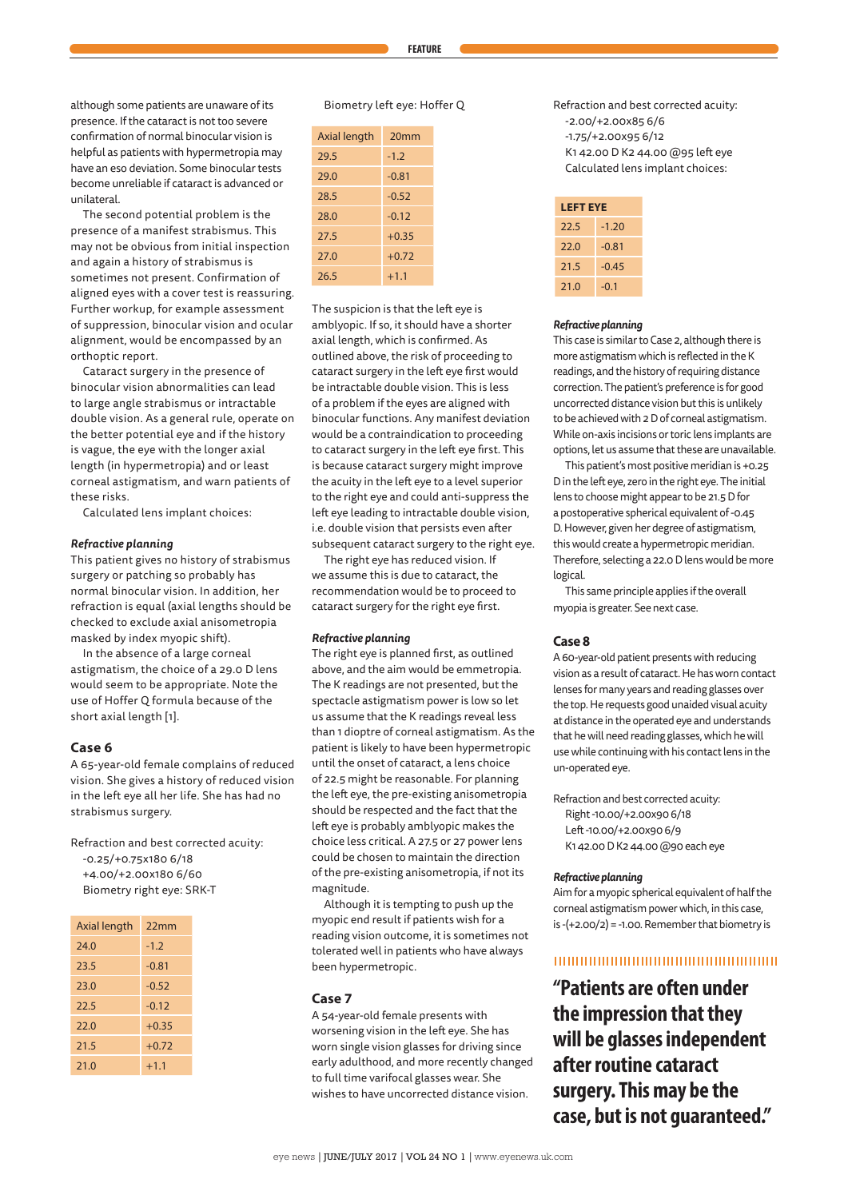although some patients are unaware of its presence. If the cataract is not too severe confirmation of normal binocular vision is helpful as patients with hypermetropia may have an eso deviation. Some binocular tests become unreliable if cataract is advanced or unilateral.

The second potential problem is the presence of a manifest strabismus. This may not be obvious from initial inspection and again a history of strabismus is sometimes not present. Confirmation of aligned eyes with a cover test is reassuring. Further workup, for example assessment of suppression, binocular vision and ocular alignment, would be encompassed by an orthoptic report.

Cataract surgery in the presence of binocular vision abnormalities can lead to large angle strabismus or intractable double vision. As a general rule, operate on the better potential eye and if the history is vague, the eye with the longer axial length (in hypermetropia) and or least corneal astigmatism, and warn patients of these risks.

Calculated lens implant choices:

#### *Refractive planning*

This patient gives no history of strabismus surgery or patching so probably has normal binocular vision. In addition, her refraction is equal (axial lengths should be checked to exclude axial anisometropia masked by index myopic shift).

In the absence of a large corneal astigmatism, the choice of a 29.0 D lens would seem to be appropriate. Note the use of Hoffer Q formula because of the short axial length [1].

# **Case 6**

A 65-year-old female complains of reduced vision. She gives a history of reduced vision in the left eye all her life. She has had no strabismus surgery.

Refraction and best corrected acuity: -0.25/+0.75x180 6/18 +4.00/+2.00x180 6/60 Biometry right eye: SRK-T

| Axial length | 22mm    |
|--------------|---------|
| 74.0         | $-1.2$  |
| 23.5         | $-0.81$ |
| 23.0         | $-0.52$ |
| 22.5         | $-0.12$ |
| 22.0         | $+0.35$ |
| 21.5         | $+0.72$ |
| 21.0         | $+1.1$  |

# Biometry left eye: Hoffer Q

| Axial length | 20 <sub>mm</sub> |
|--------------|------------------|
| 29.5         | $-1.2$           |
| 29.0         | $-0.81$          |
| 28.5         | $-0.52$          |
| 28.0         | $-0.12$          |
| 27.5         | $+0.35$          |
| 27.0         | $+0.72$          |
| 26.5         | $+1.1$           |

The suspicion is that the left eye is amblyopic. If so, it should have a shorter axial length, which is confirmed. As outlined above, the risk of proceeding to cataract surgery in the left eye first would be intractable double vision. This is less of a problem if the eyes are aligned with binocular functions. Any manifest deviation would be a contraindication to proceeding to cataract surgery in the left eye first. This is because cataract surgery might improve the acuity in the left eye to a level superior to the right eye and could anti-suppress the left eye leading to intractable double vision, i.e. double vision that persists even after subsequent cataract surgery to the right eye.

The right eye has reduced vision. If we assume this is due to cataract, the recommendation would be to proceed to cataract surgery for the right eye first.

#### *Refractive planning*

The right eye is planned first, as outlined above, and the aim would be emmetropia. The K readings are not presented, but the spectacle astigmatism power is low so let us assume that the K readings reveal less than 1 dioptre of corneal astigmatism. As the patient is likely to have been hypermetropic until the onset of cataract, a lens choice of 22.5 might be reasonable. For planning the left eye, the pre-existing anisometropia should be respected and the fact that the left eye is probably amblyopic makes the choice less critical. A 27.5 or 27 power lens could be chosen to maintain the direction of the pre-existing anisometropia, if not its magnitude.

Although it is tempting to push up the myopic end result if patients wish for a reading vision outcome, it is sometimes not tolerated well in patients who have always been hypermetropic.

#### **Case 7**

A 54-year-old female presents with worsening vision in the left eye. She has worn single vision glasses for driving since early adulthood, and more recently changed to full time varifocal glasses wear. She wishes to have uncorrected distance vision.

Refraction and best corrected acuity: -2.00/+2.00x85 6/6 -1.75/+2.00x95 6/12 K1 42.00 D K2 44.00 @95 left eye Calculated lens implant choices:

| <b>LEFT EYE</b> |         |  |
|-----------------|---------|--|
| 22.5            | $-1.20$ |  |
| 22.0            | $-0.81$ |  |
| 21.5            | $-0.45$ |  |
| 21.0            | -0.1    |  |

#### *Refractive planning*

This case is similar to Case 2, although there is more astigmatism which is reflected in the K readings, and the history of requiring distance correction. The patient's preference is for good uncorrected distance vision but this is unlikely to be achieved with 2 D of corneal astigmatism. While on-axis incisions or toric lens implants are options, let us assume that these are unavailable.

This patient's most positive meridian is +0.25 D in the left eye, zero in the right eye. The initial lens to choose might appear to be 21.5 D for a postoperative spherical equivalent of -0.45 D. However, given her degree of astigmatism, this would create a hypermetropic meridian. Therefore, selecting a 22.0 D lens would be more logical.

This same principle applies if the overall myopia is greater. See next case.

#### **Case 8**

A 60-year-old patient presents with reducing vision as a result of cataract. He has worn contact lenses for many years and reading glasses over the top. He requests good unaided visual acuity at distance in the operated eye and understands that he will need reading glasses, which he will use while continuing with his contact lens in the un-operated eye.

Refraction and best corrected acuity: Right -10.00/+2.00x90 6/18 Left -10.00/+2.00x90 6/9 K1 42.00 D K2 44.00 @90 each eye

#### *Refractive planning*

Aim for a myopic spherical equivalent of half the corneal astigmatism power which, in this case, is  $-(+2.00/2) = -1.00$ . Remember that biometry is

# 

**"Patients are often under the impression that they will be glasses independent after routine cataract surgery. This may be the case, but is not guaranteed."**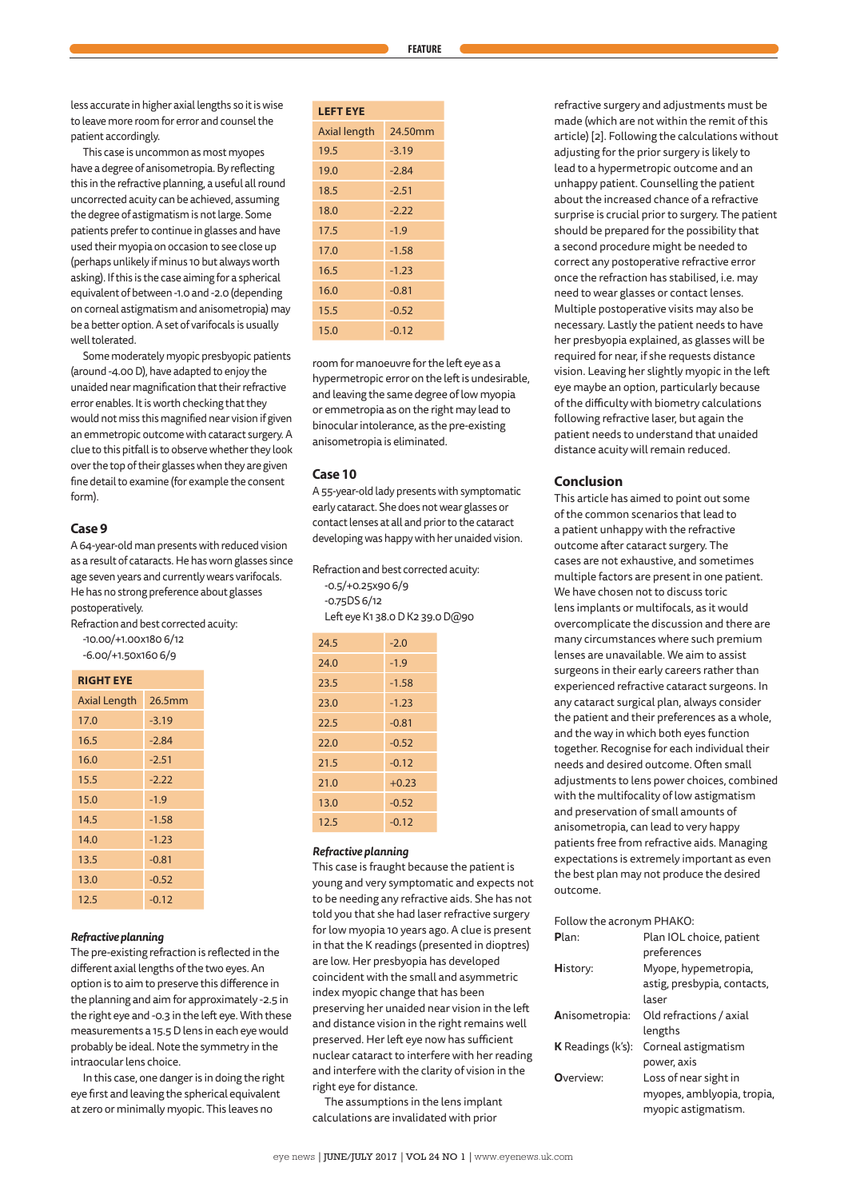less accurate in higher axial lengths so it is wise to leave more room for error and counsel the patient accordingly.

This case is uncommon as most myopes have a degree of anisometropia. By reflecting this in the refractive planning, a useful all round uncorrected acuity can be achieved, assuming the degree of astigmatism is not large. Some patients prefer to continue in glasses and have used their myopia on occasion to see close up (perhaps unlikely if minus 10 but always worth asking). If this is the case aiming for a spherical equivalent of between -1.0 and -2.0 (depending on corneal astigmatism and anisometropia) may be a better option. A set of varifocals is usually well tolerated.

Some moderately myopic presbyopic patients (around -4.00 D), have adapted to enjoy the unaided near magnification that their refractive error enables. It is worth checking that they would not miss this magnified near vision if given an emmetropic outcome with cataract surgery. A clue to this pitfall is to observe whether they look over the top of their glasses when they are given fine detail to examine (for example the consent form).

# **Case 9**

A 64-year-old man presents with reduced vision as a result of cataracts. He has worn glasses since age seven years and currently wears varifocals. He has no strong preference about glasses postoperatively.

Refraction and best corrected acuity: -10.00/+1.00x180 6/12

-6.00/+1.50x160 6/9

| <b>RIGHT EYE</b>    |         |  |
|---------------------|---------|--|
| <b>Axial Length</b> | 26.5mm  |  |
| 17.0                | $-3.19$ |  |
| 16.5                | $-2.84$ |  |
| 16.0                | $-2.51$ |  |
| 15.5                | $-2.22$ |  |
| 15.0                | $-1.9$  |  |
| 14.5                | $-1.58$ |  |
| 14.0                | $-1.23$ |  |
| 13.5                | $-0.81$ |  |
| 13.0                | $-0.52$ |  |
| 12.5                | $-0.12$ |  |

#### *Refractive planning*

The pre-existing refraction is reflected in the different axial lengths of the two eyes. An option is to aim to preserve this difference in the planning and aim for approximately -2.5 in the right eye and -0.3 in the left eye. With these measurements a 15.5 D lens in each eye would probably be ideal. Note the symmetry in the intraocular lens choice.

In this case, one danger is in doing the right eye first and leaving the spherical equivalent at zero or minimally myopic. This leaves no

| <b>LEFT EYE</b> |         |
|-----------------|---------|
| Axial length    | 24.50mm |
| 19.5            | $-3.19$ |
| 19.0            | $-2.84$ |
| 18.5            | $-2.51$ |
| 18.0            | $-2.22$ |
| 17.5            | $-1.9$  |
| 17.0            | $-1.58$ |
| 16.5            | $-1.23$ |
| 16.0            | $-0.81$ |
| 15.5            | $-0.52$ |
| 15.0            | $-0.12$ |

room for manoeuvre for the left eye as a hypermetropic error on the left is undesirable, and leaving the same degree of low myopia or emmetropia as on the right may lead to binocular intolerance, as the pre-existing anisometropia is eliminated.

# **Case 10**

A 55-year-old lady presents with symptomatic early cataract. She does not wear glasses or contact lenses at all and prior to the cataract developing was happy with her unaided vision.

Refraction and best corrected acuity: -0.5/+0.25x90 6/9

-0.75DS 6/12 Left eye K1 38.0 D K2 39.0 D@90

| 24.5 | $-2.0$  |
|------|---------|
| 24.0 | $-1.9$  |
| 23.5 | $-1.58$ |
| 23.0 | $-1.23$ |
| 22.5 | $-0.81$ |
| 22.0 | $-0.52$ |
| 21.5 | $-0.12$ |
| 21.0 | $+0.23$ |
| 13.0 | $-0.52$ |
| 12.5 | $-0.12$ |

#### *Refractive planning*

This case is fraught because the patient is young and very symptomatic and expects not to be needing any refractive aids. She has not told you that she had laser refractive surgery for low myopia 10 years ago. A clue is present in that the K readings (presented in dioptres) are low. Her presbyopia has developed coincident with the small and asymmetric index myopic change that has been preserving her unaided near vision in the left and distance vision in the right remains well preserved. Her left eye now has sufficient nuclear cataract to interfere with her reading and interfere with the clarity of vision in the right eye for distance.

The assumptions in the lens implant calculations are invalidated with prior

refractive surgery and adjustments must be made (which are not within the remit of this article) [2]. Following the calculations without adjusting for the prior surgery is likely to lead to a hypermetropic outcome and an unhappy patient. Counselling the patient about the increased chance of a refractive surprise is crucial prior to surgery. The patient should be prepared for the possibility that a second procedure might be needed to correct any postoperative refractive error once the refraction has stabilised, i.e. may need to wear glasses or contact lenses. Multiple postoperative visits may also be necessary. Lastly the patient needs to have her presbyopia explained, as glasses will be required for near, if she requests distance vision. Leaving her slightly myopic in the left eye maybe an option, particularly because of the difficulty with biometry calculations following refractive laser, but again the patient needs to understand that unaided distance acuity will remain reduced.

### **Conclusion**

This article has aimed to point out some of the common scenarios that lead to a patient unhappy with the refractive outcome after cataract surgery. The cases are not exhaustive, and sometimes multiple factors are present in one patient. We have chosen not to discuss toric lens implants or multifocals, as it would overcomplicate the discussion and there are many circumstances where such premium lenses are unavailable. We aim to assist surgeons in their early careers rather than experienced refractive cataract surgeons. In any cataract surgical plan, always consider the patient and their preferences as a whole, and the way in which both eyes function together. Recognise for each individual their needs and desired outcome. Often small adjustments to lens power choices, combined with the multifocality of low astigmatism and preservation of small amounts of anisometropia, can lead to very happy patients free from refractive aids. Managing expectations is extremely important as even the best plan may not produce the desired outcome.

Follow the acronym PHAKO:

| Plan:                        | Plan IOL choice, patient    |
|------------------------------|-----------------------------|
|                              | preferences                 |
| History:                     | Myope, hypemetropia,        |
|                              | astig, presbypia, contacts, |
|                              | laser                       |
| Anisometropia:               | Old refractions / axial     |
|                              | lengths                     |
| <b>K</b> Readings ( $k's$ ): | Corneal astigmatism         |
|                              | power, axis                 |
| Overview:                    | Loss of near sight in       |
|                              | myopes, amblyopia, tropia,  |
|                              | myopic astigmatism.         |